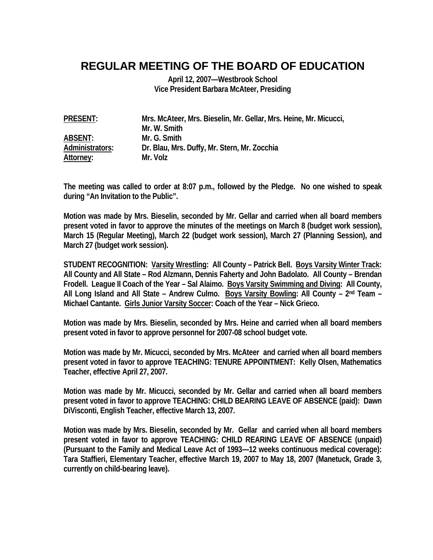## **REGULAR MEETING OF THE BOARD OF EDUCATION**

**April 12, 2007—Westbrook School Vice President Barbara McAteer, Presiding** 

| <b>PRESENT:</b> | Mrs. McAteer, Mrs. Bieselin, Mr. Gellar, Mrs. Heine, Mr. Micucci, |
|-----------------|-------------------------------------------------------------------|
|                 | Mr. W. Smith                                                      |
| <b>ABSENT:</b>  | Mr. G. Smith                                                      |
| Administrators: | Dr. Blau, Mrs. Duffy, Mr. Stern, Mr. Zocchia                      |
| Attorney:       | Mr. Volz                                                          |

**The meeting was called to order at 8:07 p.m., followed by the Pledge. No one wished to speak during "An Invitation to the Public".** 

**Motion was made by Mrs. Bieselin, seconded by Mr. Gellar and carried when all board members present voted in favor to approve the minutes of the meetings on March 8 (budget work session), March 15 (Regular Meeting), March 22 (budget work session), March 27 (Planning Session), and March 27 (budget work session).** 

**STUDENT RECOGNITION: Varsity Wrestling: All County – Patrick Bell. Boys Varsity Winter Track: All County and All State – Rod Alzmann, Dennis Faherty and John Badolato. All County – Brendan Frodell. League II Coach of the Year – Sal Alaimo. Boys Varsity Swimming and Diving: All County,**  All Long Island and All State - Andrew Culmo. Boys Varsity Bowling: All County - 2<sup>nd</sup> Team -**Michael Cantante. Girls Junior Varsity Soccer: Coach of the Year – Nick Grieco.** 

**Motion was made by Mrs. Bieselin, seconded by Mrs. Heine and carried when all board members present voted in favor to approve personnel for 2007-08 school budget vote.** 

**Motion was made by Mr. Micucci, seconded by Mrs. McAteer and carried when all board members present voted in favor to approve TEACHING: TENURE APPOINTMENT: Kelly Olsen, Mathematics Teacher, effective April 27, 2007.** 

**Motion was made by Mr. Micucci, seconded by Mr. Gellar and carried when all board members present voted in favor to approve TEACHING: CHILD BEARING LEAVE OF ABSENCE (paid): Dawn DiVisconti, English Teacher, effective March 13, 2007.** 

**Motion was made by Mrs. Bieselin, seconded by Mr. Gellar and carried when all board members present voted in favor to approve TEACHING: CHILD REARING LEAVE OF ABSENCE (unpaid) (Pursuant to the Family and Medical Leave Act of 1993—12 weeks continuous medical coverage): Tara Staffieri, Elementary Teacher, effective March 19, 2007 to May 18, 2007 (Manetuck, Grade 3, currently on child-bearing leave).**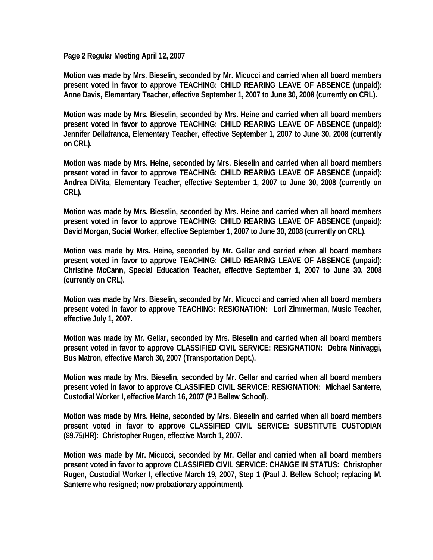**Page 2 Regular Meeting April 12, 2007** 

**Motion was made by Mrs. Bieselin, seconded by Mr. Micucci and carried when all board members present voted in favor to approve TEACHING: CHILD REARING LEAVE OF ABSENCE (unpaid): Anne Davis, Elementary Teacher, effective September 1, 2007 to June 30, 2008 (currently on CRL).** 

**Motion was made by Mrs. Bieselin, seconded by Mrs. Heine and carried when all board members present voted in favor to approve TEACHING: CHILD REARING LEAVE OF ABSENCE (unpaid): Jennifer Dellafranca, Elementary Teacher, effective September 1, 2007 to June 30, 2008 (currently on CRL).** 

**Motion was made by Mrs. Heine, seconded by Mrs. Bieselin and carried when all board members present voted in favor to approve TEACHING: CHILD REARING LEAVE OF ABSENCE (unpaid): Andrea DiVita, Elementary Teacher, effective September 1, 2007 to June 30, 2008 (currently on CRL).** 

**Motion was made by Mrs. Bieselin, seconded by Mrs. Heine and carried when all board members present voted in favor to approve TEACHING: CHILD REARING LEAVE OF ABSENCE (unpaid): David Morgan, Social Worker, effective September 1, 2007 to June 30, 2008 (currently on CRL).** 

**Motion was made by Mrs. Heine, seconded by Mr. Gellar and carried when all board members present voted in favor to approve TEACHING: CHILD REARING LEAVE OF ABSENCE (unpaid): Christine McCann, Special Education Teacher, effective September 1, 2007 to June 30, 2008 (currently on CRL).** 

**Motion was made by Mrs. Bieselin, seconded by Mr. Micucci and carried when all board members present voted in favor to approve TEACHING: RESIGNATION: Lori Zimmerman, Music Teacher, effective July 1, 2007.** 

**Motion was made by Mr. Gellar, seconded by Mrs. Bieselin and carried when all board members present voted in favor to approve CLASSIFIED CIVIL SERVICE: RESIGNATION: Debra Ninivaggi, Bus Matron, effective March 30, 2007 (Transportation Dept.).** 

**Motion was made by Mrs. Bieselin, seconded by Mr. Gellar and carried when all board members present voted in favor to approve CLASSIFIED CIVIL SERVICE: RESIGNATION: Michael Santerre, Custodial Worker I, effective March 16, 2007 (PJ Bellew School).** 

**Motion was made by Mrs. Heine, seconded by Mrs. Bieselin and carried when all board members present voted in favor to approve CLASSIFIED CIVIL SERVICE: SUBSTITUTE CUSTODIAN (\$9.75/HR): Christopher Rugen, effective March 1, 2007.** 

**Motion was made by Mr. Micucci, seconded by Mr. Gellar and carried when all board members present voted in favor to approve CLASSIFIED CIVIL SERVICE: CHANGE IN STATUS: Christopher Rugen, Custodial Worker I, effective March 19, 2007, Step 1 (Paul J. Bellew School; replacing M. Santerre who resigned; now probationary appointment).**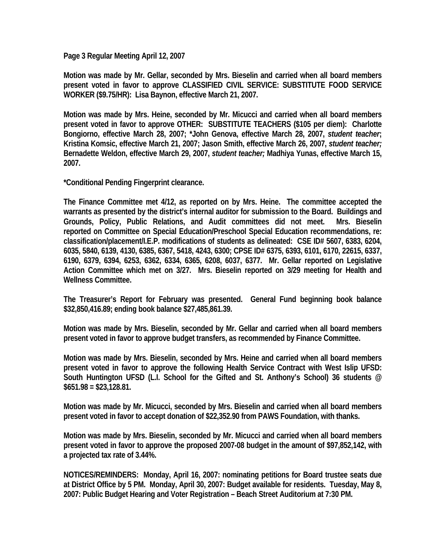**Page 3 Regular Meeting April 12, 2007** 

**Motion was made by Mr. Gellar, seconded by Mrs. Bieselin and carried when all board members present voted in favor to approve CLASSIFIED CIVIL SERVICE: SUBSTITUTE FOOD SERVICE WORKER (\$9.75/HR): Lisa Baynon, effective March 21, 2007.** 

**Motion was made by Mrs. Heine, seconded by Mr. Micucci and carried when all board members present voted in favor to approve OTHER: SUBSTITUTE TEACHERS (\$105 per diem): Charlotte Bongiorno, effective March 28, 2007; \*John Genova, effective March 28, 2007,** *student teacher***; Kristina Komsic, effective March 21, 2007; Jason Smith, effective March 26, 2007,** *student teacher;*  **Bernadette Weldon, effective March 29, 2007,** *student teacher;* **Madhiya Yunas, effective March 15, 2007.** 

**\*Conditional Pending Fingerprint clearance.** 

**The Finance Committee met 4/12, as reported on by Mrs. Heine. The committee accepted the warrants as presented by the district's internal auditor for submission to the Board. Buildings and Grounds, Policy, Public Relations, and Audit committees did not meet. Mrs. Bieselin reported on Committee on Special Education/Preschool Special Education recommendations, re: classification/placement/I.E.P. modifications of students as delineated: CSE ID# 5607, 6383, 6204, 6035, 5840, 6139, 4130, 6385, 6367, 5418, 4243, 6300; CPSE ID# 6375, 6393, 6101, 6170, 22615, 6337, 6190, 6379, 6394, 6253, 6362, 6334, 6365, 6208, 6037, 6377. Mr. Gellar reported on Legislative Action Committee which met on 3/27. Mrs. Bieselin reported on 3/29 meeting for Health and Wellness Committee.** 

**The Treasurer's Report for February was presented. General Fund beginning book balance \$32,850,416.89; ending book balance \$27,485,861.39.** 

**Motion was made by Mrs. Bieselin, seconded by Mr. Gellar and carried when all board members present voted in favor to approve budget transfers, as recommended by Finance Committee.** 

**Motion was made by Mrs. Bieselin, seconded by Mrs. Heine and carried when all board members present voted in favor to approve the following Health Service Contract with West Islip UFSD: South Huntington UFSD (L.I. School for the Gifted and St. Anthony's School) 36 students @ \$651.98 = \$23,128.81.** 

**Motion was made by Mr. Micucci, seconded by Mrs. Bieselin and carried when all board members present voted in favor to accept donation of \$22,352.90 from PAWS Foundation, with thanks.** 

**Motion was made by Mrs. Bieselin, seconded by Mr. Micucci and carried when all board members present voted in favor to approve the proposed 2007-08 budget in the amount of \$97,852,142, with a projected tax rate of 3.44%.** 

**NOTICES/REMINDERS: Monday, April 16, 2007: nominating petitions for Board trustee seats due at District Office by 5 PM. Monday, April 30, 2007: Budget available for residents. Tuesday, May 8, 2007: Public Budget Hearing and Voter Registration – Beach Street Auditorium at 7:30 PM.**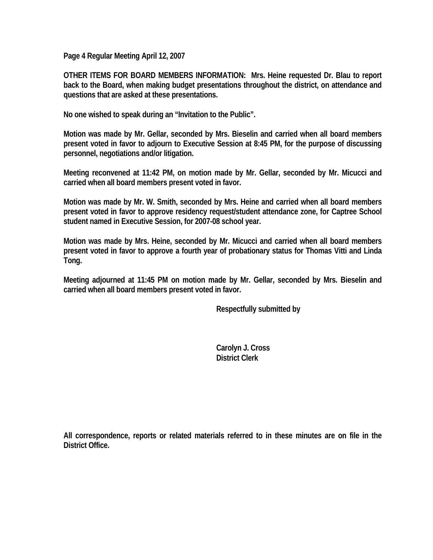**Page 4 Regular Meeting April 12, 2007** 

**OTHER ITEMS FOR BOARD MEMBERS INFORMATION: Mrs. Heine requested Dr. Blau to report back to the Board, when making budget presentations throughout the district, on attendance and questions that are asked at these presentations.** 

**No one wished to speak during an "Invitation to the Public".** 

**Motion was made by Mr. Gellar, seconded by Mrs. Bieselin and carried when all board members present voted in favor to adjourn to Executive Session at 8:45 PM, for the purpose of discussing personnel, negotiations and/or litigation.** 

**Meeting reconvened at 11:42 PM, on motion made by Mr. Gellar, seconded by Mr. Micucci and carried when all board members present voted in favor.** 

**Motion was made by Mr. W. Smith, seconded by Mrs. Heine and carried when all board members present voted in favor to approve residency request/student attendance zone, for Captree School student named in Executive Session, for 2007-08 school year.** 

**Motion was made by Mrs. Heine, seconded by Mr. Micucci and carried when all board members present voted in favor to approve a fourth year of probationary status for Thomas Vitti and Linda Tong.** 

**Meeting adjourned at 11:45 PM on motion made by Mr. Gellar, seconded by Mrs. Bieselin and carried when all board members present voted in favor.** 

 **Respectfully submitted by** 

 **Carolyn J. Cross District Clerk** 

**All correspondence, reports or related materials referred to in these minutes are on file in the District Office.**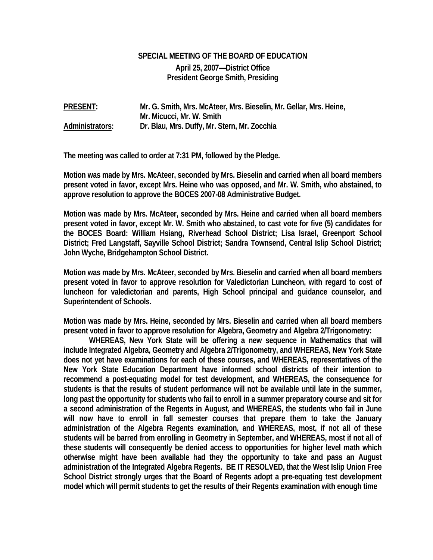## **SPECIAL MEETING OF THE BOARD OF EDUCATION April 25, 2007—District Office President George Smith, Presiding**

**PRESENT: Mr. G. Smith, Mrs. McAteer, Mrs. Bieselin, Mr. Gellar, Mrs. Heine, Mr. Micucci, Mr. W. Smith Administrators: Dr. Blau, Mrs. Duffy, Mr. Stern, Mr. Zocchia** 

**The meeting was called to order at 7:31 PM, followed by the Pledge.** 

**Motion was made by Mrs. McAteer, seconded by Mrs. Bieselin and carried when all board members present voted in favor, except Mrs. Heine who was opposed, and Mr. W. Smith, who abstained, to approve resolution to approve the BOCES 2007-08 Administrative Budget.** 

**Motion was made by Mrs. McAteer, seconded by Mrs. Heine and carried when all board members present voted in favor, except Mr. W. Smith who abstained, to cast vote for five (5) candidates for the BOCES Board: William Hsiang, Riverhead School District; Lisa Israel, Greenport School District; Fred Langstaff, Sayville School District; Sandra Townsend, Central Islip School District; John Wyche, Bridgehampton School District.** 

**Motion was made by Mrs. McAteer, seconded by Mrs. Bieselin and carried when all board members present voted in favor to approve resolution for Valedictorian Luncheon, with regard to cost of luncheon for valedictorian and parents, High School principal and guidance counselor, and Superintendent of Schools.** 

**Motion was made by Mrs. Heine, seconded by Mrs. Bieselin and carried when all board members present voted in favor to approve resolution for Algebra, Geometry and Algebra 2/Trigonometry:** 

 **WHEREAS, New York State will be offering a new sequence in Mathematics that will include Integrated Algebra, Geometry and Algebra 2/Trigonometry, and WHEREAS, New York State does not yet have examinations for each of these courses, and WHEREAS, representatives of the New York State Education Department have informed school districts of their intention to recommend a post-equating model for test development, and WHEREAS, the consequence for students is that the results of student performance will not be available until late in the summer, long past the opportunity for students who fail to enroll in a summer preparatory course and sit for a second administration of the Regents in August, and WHEREAS, the students who fail in June will now have to enroll in fall semester courses that prepare them to take the January administration of the Algebra Regents examination, and WHEREAS, most, if not all of these students will be barred from enrolling in Geometry in September, and WHEREAS, most if not all of these students will consequently be denied access to opportunities for higher level math which otherwise might have been available had they the opportunity to take and pass an August administration of the Integrated Algebra Regents. BE IT RESOLVED, that the West Islip Union Free School District strongly urges that the Board of Regents adopt a pre-equating test development model which will permit students to get the results of their Regents examination with enough time**